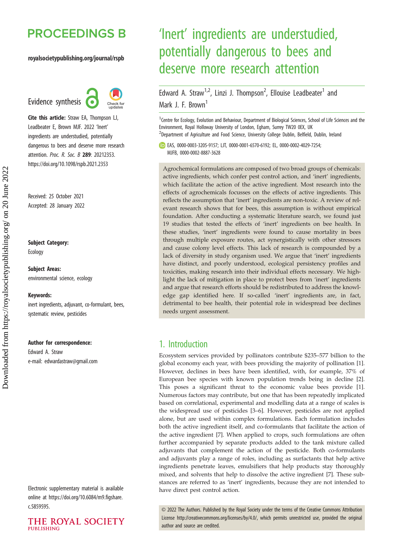## **PROCEEDINGS B**

#### royalsocietypublishing.org/journal/rspb

Evidence synthesis **6** 



Cite this article: Straw EA, Thompson LJ, Leadbeater E, Brown MJF. 2022 'Inert' ingredients are understudied, potentially dangerous to bees and deserve more research attention. Proc. R. Soc. B 289: 20212353. https://doi.org/10.1098/rspb.2021.2353

Received: 25 October 2021 Accepted: 28 January 2022

#### Subject Category:

Ecology

Subject Areas: environmental science, ecology

#### Keywords:

inert ingredients, adjuvant, co-formulant, bees, systematic review, pesticides

#### Author for correspondence:

Edward A. Straw e-mail: [edwardastraw@gmail.com](mailto:edwardastraw@gmail.com)

Electronic supplementary material is available online at [https://doi.org/10.6084/m9.figshare.](https://doi.org/10.6084/m9.figshare.c.5859595) [c.5859595.](https://doi.org/10.6084/m9.figshare.c.5859595)



# 'Inert' ingredients are understudied, potentially dangerous to bees and deserve more research attention

Edward A. Straw<sup>1,2</sup>, Linzi J. Thompson<sup>2</sup>, Ellouise Leadbeater<sup>1</sup> and Mark J. F. Brown<sup>1</sup>

<sup>1</sup> Centre for Ecology, Evolution and Behaviour, Department of Biological Sciences, School of Life Sciences and the Environment, Royal Holloway University of London, Egham, Surrey TW20 0EX, UK <sup>2</sup>Department of Agriculture and Food Science, University College Dublin, Belfield, Dublin, Ireland

EAS, [0000-0003-3205-9157;](http://orcid.org/0000-0003-3205-9157) LJT, [0000-0001-6570-6192](http://orcid.org/0000-0001-6570-6192); EL, [0000-0002-4029-7254](http://orcid.org/0000-0002-4029-7254); MJFB, [0000-0002-8887-3628](http://orcid.org/0000-0002-8887-3628)

Agrochemical formulations are composed of two broad groups of chemicals: active ingredients, which confer pest control action, and 'inert' ingredients, which facilitate the action of the active ingredient. Most research into the effects of agrochemicals focusses on the effects of active ingredients. This reflects the assumption that 'inert' ingredients are non-toxic. A review of relevant research shows that for bees, this assumption is without empirical foundation. After conducting a systematic literature search, we found just 19 studies that tested the effects of 'inert' ingredients on bee health. In these studies, 'inert' ingredients were found to cause mortality in bees through multiple exposure routes, act synergistically with other stressors and cause colony level effects. This lack of research is compounded by a lack of diversity in study organism used. We argue that 'inert' ingredients have distinct, and poorly understood, ecological persistency profiles and toxicities, making research into their individual effects necessary. We highlight the lack of mitigation in place to protect bees from 'inert' ingredients and argue that research efforts should be redistributed to address the knowledge gap identified here. If so-called 'inert' ingredients are, in fact, detrimental to bee health, their potential role in widespread bee declines needs urgent assessment.

## 1. Introduction

Ecosystem services provided by pollinators contribute \$235–577 billion to the global economy each year, with bees providing the majority of pollination [\[1\]](#page-6-0). However, declines in bees have been identified, with, for example, 37% of European bee species with known population trends being in decline [\[2\]](#page-6-0). This poses a significant threat to the economic value bees provide [\[1\]](#page-6-0). Numerous factors may contribute, but one that has been repeatedly implicated based on correlational, experimental and modelling data at a range of scales is the widespread use of pesticides [\[3](#page-6-0)–[6\]](#page-6-0). However, pesticides are not applied alone, but are used within complex formulations. Each formulation includes both the active ingredient itself, and co-formulants that facilitate the action of the active ingredient [\[7\]](#page-6-0). When applied to crops, such formulations are often further accompanied by separate products added to the tank mixture called adjuvants that complement the action of the pesticide. Both co-formulants and adjuvants play a range of roles, including as surfactants that help active ingredients penetrate leaves, emulsifiers that help products stay thoroughly mixed, and solvents that help to dissolve the active ingredient [\[7\]](#page-6-0). These substances are referred to as 'inert' ingredients, because they are not intended to have direct pest control action.

© 2022 The Authors. Published by the Royal Society under the terms of the Creative Commons Attribution License<http://creativecommons.org/licenses/by/4.0/>, which permits unrestricted use, provided the original author and source are credited.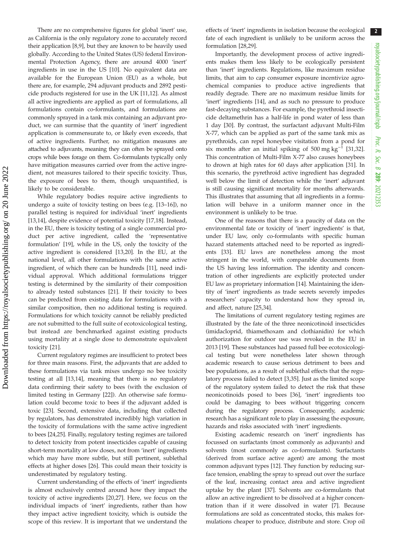There are no comprehensive figures for global 'inert' use, as California is the only regulatory zone to accurately record their application [[8,9\]](#page-7-0), but they are known to be heavily used globally. According to the United States (US) federal Environmental Protection Agency, there are around 4000 'inert' ingredients in use in the US [[10\]](#page-7-0). No equivalent data are available for the European Union (EU) as a whole, but there are, for example, 294 adjuvant products and 2892 pesticide products registered for use in the UK [[11](#page-7-0),[12\]](#page-7-0). As almost all active ingredients are applied as part of formulations, all formulations contain co-formulants, and formulations are commonly sprayed in a tank mix containing an adjuvant product, we can surmise that the quantity of 'inert' ingredient application is commensurate to, or likely even exceeds, that of active ingredients. Further, no mitigation measures are attached to adjuvants, meaning they can often be sprayed onto crops while bees forage on them. Co-formulants typically only have mitigation measures carried over from the active ingredient, not measures tailored to their specific toxicity. Thus, the exposure of bees to them, though unquantified, is likely to be considerable.

While regulatory bodies require active ingredients to undergo a suite of toxicity testing on bees (e.g. [[13](#page-7-0)–[16](#page-7-0)]), no parallel testing is required for individual 'inert' ingredients [\[13](#page-7-0),[14\]](#page-7-0), despite evidence of potential toxicity [\[17](#page-7-0),[18\]](#page-7-0). Instead, in the EU, there is toxicity testing of a single commercial product per active ingredient, called the 'representative formulation' [[19\]](#page-7-0), while in the US, only the toxicity of the active ingredient is considered [\[13,20](#page-7-0)]. In the EU, at the national level, all other formulations with the same active ingredient, of which there can be hundreds [\[11\]](#page-7-0), need individual approval. Which additional formulations trigger testing is determined by the similarity of their composition to already tested substances [\[21](#page-7-0)]. If their toxicity to bees can be predicted from existing data for formulations with a similar composition, then no additional testing is required. Formulations for which toxicity cannot be reliably predicted are not submitted to the full suite of ecotoxicological testing, but instead are benchmarked against existing products using mortality at a single dose to demonstrate equivalent toxicity [\[21\]](#page-7-0).

Current regulatory regimes are insufficient to protect bees for three main reasons. First, the adjuvants that are added to these formulations via tank mixes undergo no bee toxicity testing at all [[13,14](#page-7-0)], meaning that there is no regulatory data confirming their safety to bees (with the exclusion of limited testing in Germany [[22\]](#page-7-0)). An otherwise safe formulation could become toxic to bees if the adjuvant added is toxic [[23\]](#page-7-0). Second, extensive data, including that collected by regulators, has demonstrated incredibly high variation in the toxicity of formulations with the same active ingredient to bees [\[24,25](#page-7-0)]. Finally, regulatory testing regimes are tailored to detect toxicity from potent insecticides capable of causing short-term mortality at low doses, not from 'inert' ingredients which may have more subtle, but still pertinent, sublethal effects at higher doses [[26\]](#page-7-0). This could mean their toxicity is underestimated by regulatory testing.

Current understanding of the effects of 'inert' ingredients is almost exclusively centred around how they impact the toxicity of active ingredients [[20,27](#page-7-0)]. Here, we focus on the individual impacts of 'inert' ingredients, rather than how they impact active ingredient toxicity, which is outside the scope of this review. It is important that we understand the effects of 'inert' ingredients in isolation because the ecological fate of each ingredient is unlikely to be uniform across the formulation [\[28](#page-7-0),[29\]](#page-7-0).

Importantly, the development process of active ingredients makes them less likely to be ecologically persistent than 'inert' ingredients. Regulations, like maximum residue limits, that aim to cap consumer exposure incentivize agrochemical companies to produce active ingredients that readily degrade. There are no maximum residue limits for 'inert' ingredients [\[14](#page-7-0)], and as such no pressure to produce fast-decaying substances. For example, the pyrethroid insecticide deltamethrin has a half-life in pond water of less than 1 day [[30\]](#page-7-0). By contrast, the surfactant adjuvant Multi-Film X-77, which can be applied as part of the same tank mix as pyrethroids, can repel honeybee visitation from a pond for six months after an initial spiking of 500 mg kg<sup>-1</sup> [\[31](#page-7-0),[32\]](#page-7-0). This concentration of Multi-Film X-77 also causes honeybees to drown at high rates for 60 days after application [[31\]](#page-7-0). In this scenario, the pyrethroid active ingredient has degraded well below the limit of detection while the 'inert' adjuvant is still causing significant mortality for months afterwards. This illustrates that assuming that all ingredients in a formulation will behave in a uniform manner once in the environment is unlikely to be true.

One of the reasons that there is a paucity of data on the environmental fate or toxicity of 'inert' ingredients' is that, under EU law, only co-formulants with specific human hazard statements attached need to be reported as ingredients [\[33](#page-7-0)]. EU laws are nonetheless among the most stringent in the world, with comparable documents from the US having less information. The identity and concentration of other ingredients are explicitly protected under EU law as proprietary information [\[14](#page-7-0)]. Maintaining the identity of 'inert' ingredients as trade secrets severely impedes researchers' capacity to understand how they spread in, and affect, nature [\[25](#page-7-0),[34\]](#page-7-0).

The limitations of current regulatory testing regimes are illustrated by the fate of the three neonicotinoid insecticides (imidacloprid, thiamethoxam and clothianidin) for which authorization for outdoor use was revoked in the EU in 2013 [[19\]](#page-7-0). These substances had passed full bee ecotoxicological testing but were nonetheless later shown through academic research to cause serious detriment to bees and bee populations, as a result of sublethal effects that the regulatory process failed to detect [[3](#page-6-0),[35\]](#page-7-0). Just as the limited scope of the regulatory system failed to detect the risk that these neonicotinoids posed to bees [[36\]](#page-7-0), 'inert' ingredients too could be damaging to bees without triggering concern during the regulatory process. Consequently, academic research has a significant role to play in assessing the exposure, hazards and risks associated with 'inert' ingredients.

Existing academic research on 'inert' ingredients has focussed on surfactants (most commonly as adjuvants) and solvents (most commonly as co-formulants). Surfactants (derived from surface active agent) are among the most common adjuvant types [\[12](#page-7-0)]. They function by reducing surface tension, enabling the spray to spread out over the surface of the leaf, increasing contact area and active ingredient uptake by the plant [\[37](#page-7-0)]. Solvents are co-formulants that allow an active ingredient to be dissolved at a higher concentration than if it were dissolved in water [\[7\]](#page-6-0). Because formulations are sold as concentrated stocks, this makes formulations cheaper to produce, distribute and store. Crop oil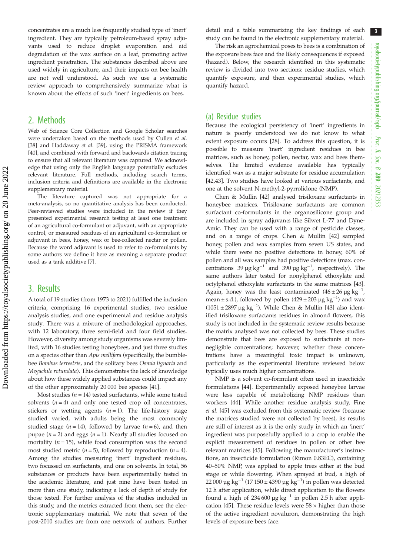concentrates are a much less frequently studied type of 'inert' ingredient. They are typically petroleum-based spray adjuvants used to reduce droplet evaporation and aid degradation of the wax surface on a leaf, promoting active ingredient penetration. The substances described above are used widely in agriculture, and their impacts on bee health are not well understood. As such we use a systematic review approach to comprehensively summarize what is known about the effects of such 'inert' ingredients on bees.

## 2. Methods

Web of Science Core Collection and Google Scholar searches were undertaken based on the methods used by Cullen et al. [\[38\]](#page-7-0) and Haddaway et al. [[39](#page-7-0)], using the PRISMA framework [\[40\]](#page-7-0), and combined with forward and backwards citation tracing to ensure that all relevant literature was captured. We acknowledge that using only the English language potentially excludes relevant literature. Full methods, including search terms, inclusion criteria and definitions are available in the electronic supplementary material.

The literature captured was not appropriate for a meta-analysis, so no quantitative analysis has been conducted. Peer-reviewed studies were included in the review if they presented experimental research testing at least one treatment of an agricultural co-formulant or adjuvant, with an appropriate control, or measured residues of an agricultural co-formulant or adjuvant in bees, honey, wax or bee-collected nectar or pollen. Because the word adjuvant is used to refer to co-formulants by some authors we define it here as meaning a separate product used as a tank additive [\[7](#page-6-0)].

### 3. Results

A total of 19 studies (from 1973 to 2021) fulfilled the inclusion criteria, comprising 16 experimental studies, two residue analysis studies, and one experimental and residue analysis study. There was a mixture of methodological approaches, with 12 laboratory, three semi-field and four field studies. However, diversity among study organisms was severely limited, with 16 studies testing honeybees, and just three studies on a species other than Apis mellifera (specifically, the bumblebee Bombus terrestris, and the solitary bees Osmia lignaria and Megachile rotundata). This demonstrates the lack of knowledge about how these widely applied substances could impact any of the other approximately 20 000 bee species [\[41\]](#page-7-0).

Most studies ( $n = 14$ ) tested surfactants, while some tested solvents  $(n = 4)$  and only one tested crop oil concentrates, stickers or wetting agents  $(n = 1)$ . The life-history stage studied varied, with adults being the most commonly studied stage ( $n = 14$ ), followed by larvae ( $n = 6$ ), and then pupae ( $n = 2$ ) and eggs ( $n = 1$ ). Nearly all studies focused on mortality ( $n = 15$ ), while food consumption was the second most studied metric ( $n = 5$ ), followed by reproduction ( $n = 4$ ). Among the studies measuring 'inert' ingredient residues, two focussed on surfactants, and one on solvents. In total, 56 substances or products have been experimentally tested in the academic literature, and just nine have been tested in more than one study, indicating a lack of depth of study for those tested. For further analysis of the studies included in this study, and the metrics extracted from them, see the electronic supplementary material. We note that seven of the post-2010 studies are from one network of authors. Further detail and a table summarizing the key findings of each study can be found in the electronic supplementary material.

The risk an agrochemical poses to bees is a combination of the exposure bees face and the likely consequences if exposed (hazard). Below, the research identified in this systematic review is divided into two sections: residue studies, which quantify exposure, and then experimental studies, which quantify hazard.

#### (a) Residue studies

Because the ecological persistency of 'inert' ingredients in nature is poorly understood we do not know to what extent exposure occurs [[28\]](#page-7-0). To address this question, it is possible to measure 'inert' ingredient residues in bee matrices, such as honey, pollen, nectar, wax and bees themselves. The limited evidence available has typically identified wax as a major substrate for residue accumulation [[42,43\]](#page-7-0). Two studies have looked at various surfactants, and one at the solvent N-methyl-2-pyrrolidone (NMP).

Chen & Mullin [[42\]](#page-7-0) analysed trisiloxane surfactants in honeybee matrices. Trisiloxane surfactants are common surfactant co-formulants in the organosilicone group and are included in spray adjuvants like Silwet L-77 and Dyne-Amic. They can be used with a range of pesticide classes, and on a range of crops. Chen & Mullin [[42\]](#page-7-0) sampled honey, pollen and wax samples from seven US states, and while there were no positive detections in honey, 60% of pollen and all wax samples had positive detections (max. concentrations 39  $\mu$ g kg<sup>-1</sup> and 390  $\mu$ g kg<sup>-1</sup>, respectively). The same authors later tested for nonylphenol ethoxylate and octylphenol ethoxylate surfactants in the same matrices [[43\]](#page-7-0). Again, honey was the least contaminated  $(46 \pm 26 \,\mu g \text{ kg}^{-1})$ , mean ± s.d.), followed by pollen  $(429 \pm 203 \,\mu g \text{ kg}^{-1})$  and wax (1051 ± 2897 µg kg−<sup>1</sup> ). While Chen & Mullin [\[43\]](#page-7-0) also identified trisiloxane surfactants residues in almond flowers, this study is not included in the systematic review results because the matrix analysed was not collected by bees. These studies demonstrate that bees are exposed to surfactants at nonnegligible concentrations; however, whether these concentrations have a meaningful toxic impact is unknown, particularly as the experimental literature reviewed below typically uses much higher concentrations.

NMP is a solvent co-formulant often used in insecticide formulations [\[44](#page-7-0)]. Experimentally exposed honeybee larvae were less capable of metabolizing NMP residues than workers [\[44](#page-7-0)]. While another residue analysis study, Fine et al. [\[45](#page-7-0)] was excluded from this systematic review (because the matrices studied were not collected by bees), its results are still of interest as it is the only study in which an 'inert' ingredient was purposefully applied to a crop to enable the explicit measurement of residues in pollen or other bee relevant matrices [[45\]](#page-7-0). Following the manufacturer's instructions, an insecticide formulation (Rimon 0.83EC), containing 40–50% NMP, was applied to apple trees either at the bud stage or while flowering. When sprayed at bud, a high of 22 000 µg kg<sup>-1</sup> (17 150 ± 4390 µg kg<sup>-1</sup>) in pollen was detected 12 h after application, while direct application to the flowers found a high of 234 600 µg  $kg^{-1}$  in pollen 2.5 h after appli-cation [\[45](#page-7-0)]. These residue levels were  $58 \times$  higher than those of the active ingredient novaluron, demonstrating the high levels of exposure bees face.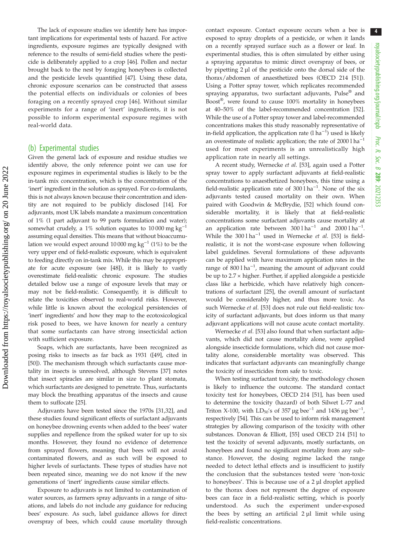The lack of exposure studies we identify here has important implications for experimental tests of hazard. For active ingredients, exposure regimes are typically designed with reference to the results of semi-field studies where the pesticide is deliberately applied to a crop [[46\]](#page-7-0). Pollen and nectar brought back to the nest by foraging honeybees is collected and the pesticide levels quantified [[47\]](#page-7-0). Using these data, chronic exposure scenarios can be constructed that assess the potential effects on individuals or colonies of bees foraging on a recently sprayed crop [[46\]](#page-7-0). Without similar experiments for a range of 'inert' ingredients, it is not possible to inform experimental exposure regimes with real-world data.

#### (b) Experimental studies

Given the general lack of exposure and residue studies we identify above, the only reference point we can use for exposure regimes in experimental studies is likely to be the in-tank mix concentration, which is the concentration of the 'inert' ingredient in the solution as sprayed. For co-formulants, this is not always known because their concentration and identity are not required to be publicly disclosed [\[14](#page-7-0)]. For adjuvants, most UK labels mandate a maximum concentration of 1% (1 part adjuvant to 99 parts formulation and water); somewhat crudely, a 1% solution equates to 10 000 mg kg<sup>-1</sup> assuming equal densities. This means that without bioaccumulation we would expect around 10 000 mg kg<sup>-1</sup> (1%) to be the very upper end of field-realistic exposure, which is equivalent to feeding directly on in-tank mix. While this may be appropriate for acute exposure (see [\[48](#page-7-0)]), it is likely to vastly overestimate field-realistic chronic exposure. The studies detailed below use a range of exposure levels that may or may not be field-realistic. Consequently, it is difficult to relate the toxicities observed to real-world risks. However, while little is known about the ecological persistencies of 'inert' ingredients' and how they map to the ecotoxicological risk posed to bees, we have known for nearly a century that some surfactants can have strong insecticidal action with sufficient exposure.

Soaps, which are surfactants, have been recognized as posing risks to insects as far back as 1931 ([\[49](#page-7-0)], cited in [\[50](#page-7-0)]). The mechanism through which surfactants cause mortality in insects is unresolved, although Stevens [\[37](#page-7-0)] notes that insect spiracles are similar in size to plant stomata, which surfactants are designed to penetrate. Thus, surfactants may block the breathing apparatus of the insects and cause them to suffocate [\[25](#page-7-0)].

Adjuvants have been tested since the 1970s [\[31](#page-7-0),[32\]](#page-7-0), and these studies found significant effects of surfactant adjuvants on honeybee drowning events when added to the bees' water supplies and repellence from the spiked water for up to six months. However, they found no evidence of deterrence from sprayed flowers, meaning that bees will not avoid contaminated flowers, and as such will be exposed to higher levels of surfactants. These types of studies have not been repeated since, meaning we do not know if the new generations of 'inert' ingredients cause similar effects.

Exposure to adjuvants is not limited to contamination of water sources, as farmers spray adjuvants in a range of situations, and labels do not include any guidance for reducing bees' exposure. As such, label guidance allows for direct overspray of bees, which could cause mortality through contact exposure. Contact exposure occurs when a bee is exposed to spray droplets of a pesticide, or when it lands on a recently sprayed surface such as a flower or leaf. In experimental studies, this is often simulated by either using a spraying apparatus to mimic direct overspray of bees, or by pipetting 2 µl of the pesticide onto the dorsal side of the thorax/abdomen of anaesthetized bees (OECD 214 [[51\]](#page-7-0)). Using a Potter spray tower, which replicates recommended spraying apparatus, two surfactant adjuvants, Pulse® and Boost®, were found to cause 100% mortality in honeybees at 40–50% of the label-recommended concentration [[52\]](#page-7-0). While the use of a Potter spray tower and label-recommended concentrations makes this study reasonably representative of in-field application, the application rate  $(1 ha^{-1})$  used is likely an overestimate of realistic application; the rate of 2000 l ha−<sup>1</sup> used for most experiments is an unrealistically high application rate in nearly all settings.

A recent study, Wernecke et al. [[53\]](#page-7-0), again used a Potter spray tower to apply surfactant adjuvants at field-realistic concentrations to anaesthetized honeybees, this time using a field-realistic application rate of 300 l ha−<sup>1</sup> . None of the six adjuvants tested caused mortality on their own. When paired with Goodwin & McBrydie, [[52\]](#page-7-0) which found considerable mortality, it is likely that at field-realistic concentrations some surfactant adjuvants cause mortality at an application rate between  $300 \, 1 \, \text{ha}^{-1}$  and  $2000 \, 1 \, \text{ha}^{-1}$ . While the 300 l ha<sup>-1</sup> used in Wernecke *et al.* [[53\]](#page-7-0) is fieldrealistic, it is not the worst-case exposure when following label guidelines. Several formulations of these adjuvants can be applied with have maximum application rates in the range of  $800$  l ha<sup>-1</sup>, meaning the amount of adjuvant could be up to 2.7 × higher. Further, if applied alongside a pesticide class like a herbicide, which have relatively high concentrations of surfactant [\[25](#page-7-0)], the overall amount of surfactant would be considerably higher, and thus more toxic. As such Wernecke et al. [[53\]](#page-7-0) does not rule out field-realistic toxicity of surfactant adjuvants, but does inform us that many adjuvant applications will not cause acute contact mortality.

Wernecke et al. [[53\]](#page-7-0) also found that when surfactant adjuvants, which did not cause mortality alone, were applied alongside insecticide formulations, which did not cause mortality alone, considerable mortality was observed. This indicates that surfactant adjuvants can meaningfully change the toxicity of insecticides from safe to toxic.

When testing surfactant toxicity, the methodology chosen is likely to influence the outcome. The standard contact toxicity test for honeybees, OECD 214 [[51\]](#page-7-0), has been used to determine the toxicity (hazard) of both Silwet L-77 and Triton X-100, with  $LD_{50}$ 's of 357 µg bee<sup>-1</sup> and 1436 µg bee<sup>-1</sup>, respectively [[54\]](#page-7-0). This can be used to inform risk management strategies by allowing comparison of the toxicity with other substances. Donovan & Elliott, [[55\]](#page-8-0) used OECD 214 [\[51](#page-7-0)] to test the toxicity of several adjuvants, mostly surfactants, on honeybees and found no significant mortality from any substance. However, the dosing regime lacked the range needed to detect lethal effects and is insufficient to justify the conclusion that the substances tested were 'non-toxic to honeybees'. This is because use of a 2 µl droplet applied to the thorax does not represent the degree of exposure bees can face in a field-realistic setting, which is poorly understood. As such the experiment under-exposed the bees by setting an artificial 2 µl limit while using field-realistic concentrations.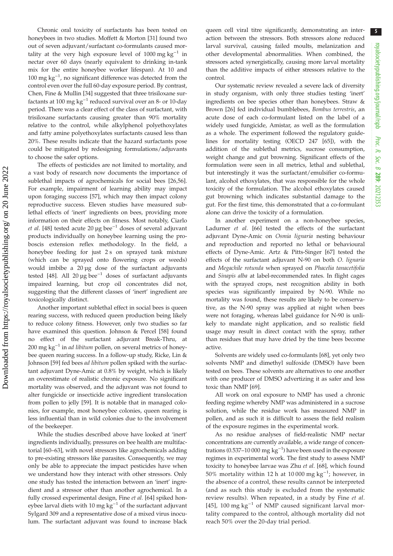Chronic oral toxicity of surfactants has been tested on honeybees in two studies. Moffett & Morton [[31\]](#page-7-0) found two out of seven adjuvant/surfactant co-formulants caused mortality at the very high exposure level of 1000 mg kg−<sup>1</sup> in nectar over 60 days (nearly equivalent to drinking in-tank mix for the entire honeybee worker lifespan). At 10 and 100 mg kg<sup>-1</sup>, no significant difference was detected from the control even over the full 60-day exposure period. By contrast, Chen, Fine & Mullin [[34\]](#page-7-0) suggested that three trisiloxane surfactants at 100 mg kg<sup>-1</sup> reduced survival over an 8- or 10-day period. There was a clear effect of the class of surfactant, with trisiloxane surfactants causing greater than 90% mortality relative to the control, while alkylphenol polyethoxylates and fatty amine polyethoxylates surfactants caused less than 20%. These results indicate that the hazard surfactants pose could be mitigated by redesigning formulations/adjuvants to choose the safer options.

The effects of pesticides are not limited to mortality, and a vast body of research now documents the importance of sublethal impacts of agrochemicals for social bees [[26](#page-7-0)[,56](#page-8-0)]. For example, impairment of learning ability may impact upon foraging success [[57](#page-8-0)], which may then impact colony reproductive success. Eleven studies have measured sublethal effects of 'inert' ingredients on bees, providing more information on their effects on fitness. Most notably, Ciarlo et al. [[48](#page-7-0)] tested acute 20 µg bee<sup>-1</sup> doses of several adjuvant products individually on honeybee learning using the proboscis extension reflex methodology. In the field, a honeybee feeding for just 2 s on sprayed tank mixture (which can be sprayed onto flowering crops or weeds) would imbibe a 20 µg dose of the surfactant adjuvants tested [[48\]](#page-7-0). All 20  $\mu$ g bee<sup>-1</sup> doses of surfactant adjuvants impaired learning, but crop oil concentrates did not, suggesting that the different classes of 'inert' ingredient are toxicologically distinct.

Another important sublethal effect in social bees is queen rearing success, with reduced queen production being likely to reduce colony fitness. However, only two studies so far have examined this question. Johnson & Percel [[58\]](#page-8-0) found no effect of the surfactant adjuvant Break-Thru, at 200 mg  $kg^{-1}$  in *ad libitum* pollen, on several metrics of honeybee queen rearing success. In a follow-up study, Ricke, Lin & Johnson [\[59](#page-8-0)] fed bees ad libitum pollen spiked with the surfactant adjuvant Dyne-Amic at 0.8% by weight, which is likely an overestimate of realistic chronic exposure. No significant mortality was observed, and the adjuvant was not found to alter fungicide or insecticide active ingredient translocation from pollen to jelly [\[59](#page-8-0)]. It is notable that in managed colonies, for example, most honeybee colonies, queen rearing is less influential than in wild colonies due to the involvement of the beekeeper.

While the studies described above have looked at 'inert' ingredients individually, pressures on bee health are multifactorial [[60](#page-8-0)–[63](#page-8-0)], with novel stressors like agrochemicals adding to pre-existing stressors like parasites. Consequently, we may only be able to appreciate the impact pesticides have when we understand how they interact with other stressors. Only one study has tested the interaction between an 'inert' ingredient and a stressor other than another agrochemical. In a fully crossed experimental design, Fine et al. [\[64](#page-8-0)] spiked honeybee larval diets with 10 mg  $kg^{-1}$  of the surfactant adjuvant Sylgard 309 and a representative dose of a mixed virus inoculum. The surfactant adjuvant was found to increase black queen cell viral titre significantly, demonstrating an interaction between the stressors. Both stressors alone reduced larval survival, causing failed moults, melanization and other developmental abnormalities. When combined, the stressors acted synergistically, causing more larval mortality than the additive impacts of either stressors relative to the control.

Our systematic review revealed a severe lack of diversity in study organism, with only three studies testing 'inert' ingredients on bee species other than honeybees. Straw & Brown [\[26](#page-7-0)] fed individual bumblebees, Bombus terrestris, an acute dose of each co-formulant listed on the label of a widely used fungicide, Amistar, as well as the formulation as a whole. The experiment followed the regulatory guidelines for mortality testing (OECD 247 [\[65](#page-8-0)]), with the addition of the sublethal metrics, sucrose consumption, weight change and gut browning. Significant effects of the formulation were seen in all metrics, lethal and sublethal, but interestingly it was the surfactant/emulsifier co-formulant, alcohol ethoxylates, that was responsible for the whole toxicity of the formulation. The alcohol ethoxylates caused gut browning which indicates substantial damage to the gut. For the first time, this demonstrated that a co-formulant alone can drive the toxicity of a formulation.

In another experiment on a non-honeybee species, Ladurner et al. [[66\]](#page-8-0) tested the effects of the surfactant adjuvant Dyne-Amic on Osmia lignaria nesting behaviour and reproduction and reported no lethal or behavioural effects of Dyne-Amic. Artz & Pitts-Singer [\[67](#page-8-0)] tested the effects of the surfactant adjuvant N-90 on both O. lignaria and Megachile rotunda when sprayed on Phacelia tanacetifolia and Sinapis alba at label-recommended rates. In flight cages with the sprayed crops, nest recognition ability in both species was significantly impaired by N-90. While no mortality was found, these results are likely to be conservative, as the N-90 spray was applied at night when bees were not foraging, whereas label guidance for N-90 is unlikely to mandate night application, and so realistic field usage may result in direct contact with the spray, rather than residues that may have dried by the time bees become active.

Solvents are widely used co-formulants [[68\]](#page-8-0), yet only two solvents NMP and dimethyl sulfoxide (DMSO) have been tested on bees. These solvents are alternatives to one another with one producer of DMSO advertizing it as safer and less toxic than NMP [\[69](#page-8-0)].

All work on oral exposure to NMP has used a chronic feeding regime whereby NMP was administered in a sucrose solution, while the residue work has measured NMP in pollen, and as such it is difficult to assess the field realism of the exposure regimes in the experimental work.

As no residue analyses of field-realistic NMP nectar concentrations are currently available, a wide range of concentrations (0.537–10 000 mg  $kg^{-1}$ ) have been used in the exposure regimes in experimental work. The first study to assess NMP toxicity to honeybee larvae was Zhu et al. [\[68\]](#page-8-0), which found 50% mortality within 12 h at 10 000 mg  $kg^{-1}$ ; however, in the absence of a control, these results cannot be interpreted (and as such this study is excluded from the systematic review results). When repeated, in a study by Fine et al. [[45](#page-7-0)], 100 mg  $kg^{-1}$  of NMP caused significant larval mortality compared to the control, although mortality did not reach 50% over the 20-day trial period.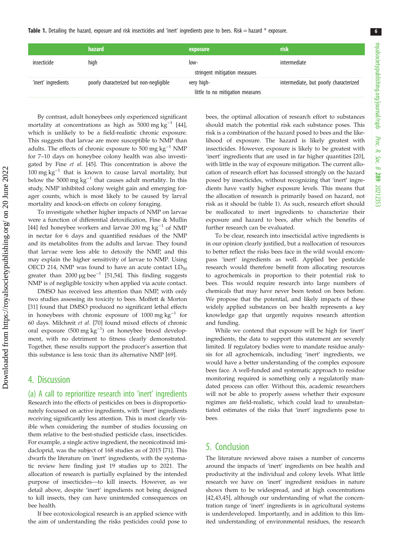Table 1. Detailing the hazard, exposure and risk insecticides and 'inert' ingredients pose to bees. Risk = hazard \* exposure.

|                     | <b>hazard</b>                           | exposure                         | risk                                   |
|---------------------|-----------------------------------------|----------------------------------|----------------------------------------|
| hride               | high                                    | $10W -$                          | intermediate                           |
|                     |                                         | stringent mitigation measures    |                                        |
| 'inert' ingredients | poorly characterized but non-negligible | very high-                       | intermediate, but poorly characterized |
|                     |                                         | little to no mitigation measures |                                        |

By contrast, adult honeybees only experienced significant mortality at concentrations as high as  $5000 \text{ mg kg}^{-1}$  [\[44](#page-7-0)], which is unlikely to be a field-realistic chronic exposure. This suggests that larvae are more susceptible to NMP than adults. The effects of chronic exposure to 500 mg  $kg^{-1}$  NMP for 7–10 days on honeybee colony health was also investigated by Fine et al. [\[45](#page-7-0)]. This concentration is above the  $100 \text{ mg kg}^{-1}$  that is known to cause larval mortality, but below the 5000 mg  $kg^{-1}$  that causes adult mortality. In this study, NMP inhibited colony weight gain and emerging forager counts, which is most likely to be caused by larval mortality and knock-on effects on colony foraging.

To investigate whether higher impacts of NMP on larvae were a function of differential detoxification, Fine & Mullin [\[44](#page-7-0)] fed honeybee workers and larvae 200 mg kg<sup>-1</sup> of NMP in nectar for 6 days and quantified residues of the NMP and its metabolites from the adults and larvae. They found that larvae were less able to detoxify the NMP, and this may explain the higher sensitivity of larvae to NMP. Using OECD 214, NMP was found to have an acute contact  $LD_{50}$ greater than 2000 µg bee<sup>-1</sup> [[51,54](#page-7-0)]. This finding suggests NMP is of negligible toxicity when applied via acute contact.

DMSO has received less attention than NMP, with only two studies assessing its toxicity to bees. Moffett & Morton [\[31](#page-7-0)] found that DMSO produced no significant lethal effects in honeybees with chronic exposure of 1000 mg kg−<sup>1</sup> for 60 days. Milchreit et al. [[70\]](#page-8-0) found mixed effects of chronic oral exposure (500 mg kg−<sup>1</sup> ) on honeybee brood development, with no detriment to fitness clearly demonstrated. Together, these results support the producer's assertion that this substance is less toxic than its alternative NMP [[69\]](#page-8-0).

## 4. Discussion

(a) A call to reprioritize research into 'inert' ingredients Research into the effects of pesticides on bees is disproportionately focussed on active ingredients, with 'inert' ingredients receiving significantly less attention. This is most clearly visible when considering the number of studies focussing on them relative to the best-studied pesticide class, insecticides. For example, a single active ingredient, the neonicotinoid imidacloprid, was the subject of 168 studies as of 2015 [[71\]](#page-8-0). This dwarfs the literature on 'inert' ingredients, with the systematic review here finding just 19 studies up to 2021. The allocation of research is partially explained by the intended purpose of insecticides—to kill insects. However, as we detail above, despite 'inert' ingredients not being designed to kill insects, they can have unintended consequences on bee health.

If bee ecotoxicological research is an applied science with the aim of understanding the risks pesticides could pose to bees, the optimal allocation of research effort to substances should match the potential risk each substance poses. This risk is a combination of the hazard posed to bees and the likelihood of exposure. The hazard is likely greatest with insecticides. However, exposure is likely to be greatest with 'inert' ingredients that are used in far higher quantities [[20\]](#page-7-0), with little in the way of exposure mitigation. The current allocation of research effort has focussed strongly on the hazard posed by insecticides, without recognizing that 'inert' ingredients have vastly higher exposure levels. This means that the allocation of research is primarily based on hazard, not risk as it should be (table 1). As such, research effort should be reallocated to inert ingredients to characterize their exposure and hazard to bees, after which the benefits of further research can be evaluated.

To be clear, research into insecticidal active ingredients is in our opinion clearly justified, but a reallocation of resources to better reflect the risks bees face in the wild would encompass 'inert' ingredients as well. Applied bee pesticide research would therefore benefit from allocating resources to agrochemicals in proportion to their potential risk to bees. This would require research into large numbers of chemicals that may have never been tested on bees before. We propose that the potential, and likely impacts of these widely applied substances on bee health represents a key knowledge gap that urgently requires research attention and funding.

While we contend that exposure will be high for 'inert' ingredients, the data to support this statement are severely limited. If regulatory bodies were to mandate residue analysis for all agrochemicals, including 'inert' ingredients, we would have a better understanding of the complex exposure bees face. A well-funded and systematic approach to residue monitoring required is something only a regulatorily mandated process can offer. Without this, academic researchers will not be able to properly assess whether their exposure regimes are field-realistic, which could lead to unsubstantiated estimates of the risks that 'inert' ingredients pose to bees.

## 5. Conclusion

The literature reviewed above raises a number of concerns around the impacts of 'inert' ingredients on bee health and productivity at the individual and colony levels. What little research we have on 'inert' ingredient residues in nature shows them to be widespread, and at high concentrations [[42,43,45](#page-7-0)], although our understanding of what the concentration range of 'inert' ingredients is in agricultural systems is underdeveloped. Importantly, and in addition to this limited understanding of environmental residues, the research 6

Proc. R. Soc. $\sigma$ 

289: 20212353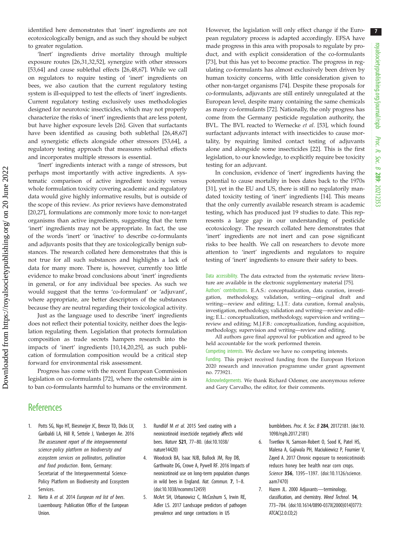<span id="page-6-0"></span>identified here demonstrates that 'inert' ingredients are not ecotoxicologically benign, and as such they should be subject to greater regulation.

'Inert' ingredients drive mortality through multiple exposure routes [\[26,31](#page-7-0),[32,52\]](#page-7-0), synergize with other stressors [\[53](#page-7-0),[64\]](#page-8-0) and cause sublethal effects [\[26](#page-7-0),[48,](#page-7-0)[67\]](#page-8-0). While we call on regulators to require testing of 'inert' ingredients on bees, we also caution that the current regulatory testing system is ill-equipped to test the effects of 'inert' ingredients. Current regulatory testing exclusively uses methodologies designed for neurotoxic insecticides, which may not properly characterize the risks of 'inert' ingredients that are less potent, but have higher exposure levels [\[26](#page-7-0)]. Given that surfactants have been identified as causing both sublethal [\[26,48](#page-7-0),[67\]](#page-8-0) and synergistic effects alongside other stressors [[53,](#page-7-0)[64\]](#page-8-0), a regulatory testing approach that measures sublethal effects and incorporates multiple stressors is essential.

'Inert' ingredients interact with a range of stressors, but perhaps most importantly with active ingredients. A systematic comparison of active ingredient toxicity versus whole formulation toxicity covering academic and regulatory data would give highly informative results, but is outside of the scope of this review. As prior reviews have demonstrated [\[20](#page-7-0),[27\]](#page-7-0), formulations are commonly more toxic to non-target organisms than active ingredients, suggesting that the term 'inert' ingredients may not be appropriate. In fact, the use of the words 'inert' or 'inactive' to describe co-formulants and adjuvants posits that they are toxicologically benign substances. The research collated here demonstrates that this is not true for all such substances and highlights a lack of data for many more. There is, however, currently too little evidence to make broad conclusions about 'inert' ingredients in general, or for any individual bee species. As such we would suggest that the terms 'co-formulant' or 'adjuvant', where appropriate, are better descriptors of the substances because they are neutral regarding their toxicological activity.

Just as the language used to describe 'inert' ingredients does not reflect their potential toxicity, neither does the legislation regulating them. Legislation that protects formulation composition as trade secrets hampers research into the impacts of 'inert' ingredients [[10,14,20,25\]](#page-7-0), as such publication of formulation composition would be a critical step forward for environmental risk assessment.

Progress has come with the recent European Commission legislation on co-formulants [[72](#page-8-0)], where the ostensible aim is to ban co-formulants harmful to humans or the environment.

However, the legislation will only effect change if the European regulatory process is adapted accordingly. EFSA have made progress in this area with proposals to regulate by product, and with explicit consideration of the co-formulants [[73\]](#page-8-0), but this has yet to become practice. The progress in regulating co-formulants has almost exclusively been driven by human toxicity concerns, with little consideration given to other non-target organisms [[74\]](#page-8-0). Despite these proposals for co-formulants, adjuvants are still entirely unregulated at the European level, despite many containing the same chemicals as many co-formulants [\[72](#page-8-0)]. Nationally, the only progress has come from the Germany pesticide regulation authority, the BVL. The BVL reacted to Wernecke et al. [[53\]](#page-7-0), which found surfactant adjuvants interact with insecticides to cause mortality, by requiring limited contact testing of adjuvants alone and alongside some insecticides [\[22](#page-7-0)]. This is the first legislation, to our knowledge, to explicitly require bee toxicity testing for an adjuvant.

In conclusion, evidence of 'inert' ingredients having the potential to cause mortality in bees dates back to the 1970s [[31\]](#page-7-0), yet in the EU and US, there is still no regulatorily mandated toxicity testing of 'inert' ingredients [\[14](#page-7-0)]. This means that the only currently available research stream is academic testing, which has produced just 19 studies to date. This represents a large gap in our understanding of pesticide ecotoxicology. The research collated here demonstrates that 'inert' ingredients are not inert and can pose significant risks to bee health. We call on researchers to devote more attention to 'inert' ingredients and regulators to require testing of 'inert' ingredients to ensure their safety to bees.

Data accessibility. The data extracted from the systematic review literature are available in the electronic supplementary material [[75\]](#page-8-0).

Authors' contributions. E.A.S.: conceptualization, data curation, investigation, methodology, validation, writing—original draft and writing—review and editing; L.J.T.: data curation, formal analysis, investigation, methodology, validation and writing—review and editing; E.L.: conceptualization, methodology, supervision and writing review and editing; M.J.F.B.: conceptualization, funding acquisition, methodology, supervision and writing—review and editing.

All authors gave final approval for publication and agreed to be held accountable for the work performed therein.

Competing interests. We declare we have no competing interests.

Funding. This project received funding from the European Horizon 2020 research and innovation programme under grant agreement no. 773921.

Acknowledgements. We thank Richard Odemer, one anonymous referee and Gary Carvalho, the editor, for their comments.

## **References**

- 1. Potts SG, Ngo HT, Biesmeijer JC, Breeze TD, Dicks LV, Garibaldi LA, Hill R, Settele J, Vanbergen Ae. 2016 The assessment report of the intergovernmental science-policy platform on biodiversity and ecosystem services on pollinators, pollination and food production. Bonn, Germany: Secretariat of the Intergovernmental Science-Policy Platform on Biodiversity and Ecosystem Services.
- 2. Nieto A et al. 2014 European red list of bees. Luxembourg: Publication Office of the European Union.
- 3. Rundlöf M et al. 2015 Seed coating with a neonicotinoid insecticide negatively affects wild bees. Nature 521, 77–80. ([doi:10.1038/](http://dx.doi.org/10.1038/nature14420) [nature14420](http://dx.doi.org/10.1038/nature14420))
- 4. Woodcock BA, Isaac NJB, Bullock JM, Roy DB, Garthwaite DG, Crowe A, Pywell RF. 2016 Impacts of neonicotinoid use on long-term population changes in wild bees in England. Nat. Commun. 7, 1–8. [\(doi:10.1038/ncomms12459\)](http://dx.doi.org/10.1038/ncomms12459)
- 5. McArt SH, Urbanowicz C, McCoshum S, Irwin RE, Adler LS. 2017 Landscape predictors of pathogen prevalence and range contractions in US

bumblebees. Proc. R. Soc. B 284, 20172181. [\(doi:10.](http://dx.doi.org/10.1098/rspb.2017.2181) [1098/rspb.2017.2181\)](http://dx.doi.org/10.1098/rspb.2017.2181)

- 6. Tsvetkov N, Samson-Robert O, Sood K, Patel HS, Malena A, Gajiwala PH, Maciukiewicz P, Fournier V, Zayed A. 2017 Chronic exposure to neonicotinoids reduces honey bee health near corn crops. Science 356, 1395–1397. ([doi:10.1126/science.](http://dx.doi.org/10.1126/science.aam7470) [aam7470](http://dx.doi.org/10.1126/science.aam7470))
- 7. Hazen JL. 2000 Adjuvants—terminology, classification, and chemistry. Weed Technol. 14, 773–784. [\(doi:10.1614/0890-037X\(2000\)014\[0773:](http://dx.doi.org/10.1614/0890-037X(2000)014[0773:ATCAC]2.0.CO;2) [ATCAC\]2.0.CO;2](http://dx.doi.org/10.1614/0890-037X(2000)014[0773:ATCAC]2.0.CO;2))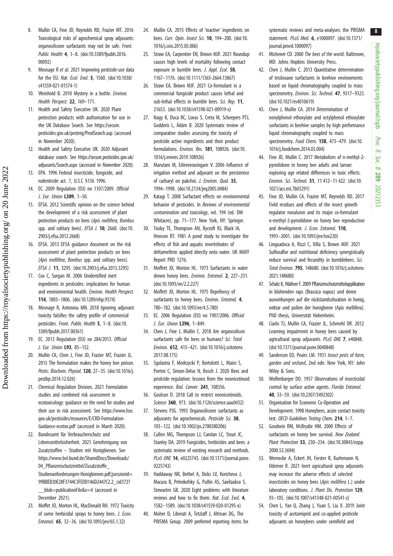- <span id="page-7-0"></span>8. Mullin CA, Fine JD, Reynolds RD, Frazier MT. 2016 Toxicological risks of agrochemical spray adjuvants: organosilicone surfactants may not be safe. Front. Public Health 4, 1–8. [\(doi:10.3389/fpubh.2016.](http://dx.doi.org/10.3389/fpubh.2016.00092) [00092\)](http://dx.doi.org/10.3389/fpubh.2016.00092)
- 9. Mesnage R et al. 2021 Improving pesticide-use data for the EU. Nat. Ecol. Evol. 5, 1560. ([doi:10.1038/](http://dx.doi.org/10.1038/s41559-021-01574-1) [s41559-021-01574-1](http://dx.doi.org/10.1038/s41559-021-01574-1))
- 10. Weinhold B. 2010 Mystery in a bottle. Environ. Health Perspect. 22, 169–171.
- 11. Health and Safety Executive UK. 2020 Plant protection products with authorisation for use in the UK Database Search. See [https://secure.](https://secure.pesticides.gov.uk/pestreg/ProdSearch.asp) [pesticides.gov.uk/pestreg/ProdSearch.asp](https://secure.pesticides.gov.uk/pestreg/ProdSearch.asp) (accessed in November 2020).
- 12. Health and Safety Executive UK. 2020 Adjuvant database search. See [https://secure.pesticides.gov.uk/](https://secure.pesticides.gov.uk/adjuvants/Search.aspx) [adjuvants/Search.aspx](https://secure.pesticides.gov.uk/adjuvants/Search.aspx) (accessed in November 2020).
- 13. EPA. 1996 Federal insecticide, fungicide, and rodenticide act. 7, U.S.C §136 1996.
- 14. EC. 2009 Regulation (EU) no 1107/2009. Official J. Eur. Union L309, 1–50.
- 15. EFSA. 2012 Scientific opinion on the science behind the development of a risk assessment of plant protection products on bees (Apis mellifera, Bombus spp. and solitary bees). EFSA J. 10, 2668. [\(doi:10.](http://dx.doi.org/10.2903/j.efsa.2012.2668) [2903/j.efsa.2012.2668\)](http://dx.doi.org/10.2903/j.efsa.2012.2668)
- 16. EFSA. 2013 EFSA guidance document on the risk assessment of plant protection products on bees (Apis mellifera, Bombus spp. and solitary bees). EFSA J. 11, 3295. [\(doi:10.2903/j.efsa.2013.3295\)](http://dx.doi.org/10.2903/j.efsa.2013.3295)
- 17. Cox C, Surgan M. 2006 Unidentified inert ingredients in pesticides: implications for human and environmental health. Environ. Health Perspect. 114, 1803–1806. [\(doi:10.1289/ehp.9374](http://dx.doi.org/10.1289/ehp.9374))
- 18. Mesnage R, Antoniou MN. 2018 Ignoring adjuvant toxicity falsifies the safety profile of commercial pesticides. Front. Public Health 5, 1–8. [\(doi:10.](http://dx.doi.org/10.3389/fpubh.2017.00361) [3389/fpubh.2017.00361\)](http://dx.doi.org/10.3389/fpubh.2017.00361)
- 19. EC. 2013 Regulation (EU) no 284/2013. Official J. Eur. Union L93, 85–152.
- 20. Mullin CA, Chen J, Fine JD, Frazier MT, Frazier JL. 2015 The formulation makes the honey bee poison. Pestic. Biochem. Physiol. 120, 27–35. [\(doi:10.1016/j.](http://dx.doi.org/10.1016/j.pestbp.2014.12.026) [pestbp.2014.12.026\)](http://dx.doi.org/10.1016/j.pestbp.2014.12.026)
- 21. Chemical Regulation Division. 2021 Formulation studies and combined risk assessment in ecotoxicology: guidance on the need for studies and their use in risk assessment. See [https://www.hse.](https://www.hse.gov.uk/pesticides/resources/E/CRD-Formulation-Guidance-ecotox.pdf) [gov.uk/pesticides/resources/E/CRD-Formulation-](https://www.hse.gov.uk/pesticides/resources/E/CRD-Formulation-Guidance-ecotox.pdf)[Guidance-ecotox.pdf](https://www.hse.gov.uk/pesticides/resources/E/CRD-Formulation-Guidance-ecotox.pdf) (accessed in March 2020).
- 22. Bundesamt für Verbraucherschutz und Lebensmittelsicherheit. 2021 Genehmigung von Zusatzstoffen – Studien mit Honigbienen. See [https://www.bvl.bund.de/SharedDocs/Downloads/](https://www.bvl.bund.de/SharedDocs/Downloads/04_Pflanzenschutzmittel/Zusatzstoffe_Studienanforderungen-Honigbienen.pdf;jsessionid=99BBEB30E28F3744C3FEDD146D2447C2.2_cid372?__blob=publicationFile&v=4) [04\\_Pflanzenschutzmittel/Zusatzstoffe\\_](https://www.bvl.bund.de/SharedDocs/Downloads/04_Pflanzenschutzmittel/Zusatzstoffe_Studienanforderungen-Honigbienen.pdf;jsessionid=99BBEB30E28F3744C3FEDD146D2447C2.2_cid372?__blob=publicationFile&v=4) [Studienanforderungen-Honigbienen.pdf;jsessionid=](https://www.bvl.bund.de/SharedDocs/Downloads/04_Pflanzenschutzmittel/Zusatzstoffe_Studienanforderungen-Honigbienen.pdf;jsessionid=99BBEB30E28F3744C3FEDD146D2447C2.2_cid372?__blob=publicationFile&v=4) [99BBEB30E28F3744C3FEDD146D2447C2.2\\_cid372?](https://www.bvl.bund.de/SharedDocs/Downloads/04_Pflanzenschutzmittel/Zusatzstoffe_Studienanforderungen-Honigbienen.pdf;jsessionid=99BBEB30E28F3744C3FEDD146D2447C2.2_cid372?__blob=publicationFile&v=4) [\\_\\_blob=publicationFile&v=4](https://www.bvl.bund.de/SharedDocs/Downloads/04_Pflanzenschutzmittel/Zusatzstoffe_Studienanforderungen-Honigbienen.pdf;jsessionid=99BBEB30E28F3744C3FEDD146D2447C2.2_cid372?__blob=publicationFile&v=4) (accessed in December 2021).
- 23. Moffet JO, Morton HL, MacDonald RH. 1972 Toxicity of some herbicidal sprays to honey bees. J. Econ. Entomol. 65, 32–36. ([doi:10.1093/jee/65.1.32](http://dx.doi.org/10.1093/jee/65.1.32))
- 24. Mullin CA. 2015 Effects of 'inactive' ingredients on bees. Curr. Opin. Insect Sci. 10, 194–200. ([doi:10.](http://dx.doi.org/10.1016/j.cois.2015.05.006) [1016/j.cois.2015.05.006\)](http://dx.doi.org/10.1016/j.cois.2015.05.006)
- 25. Straw EA, Carpentier EN, Brown MJF. 2021 Roundup causes high levels of mortality following contact exposure in bumble bees. J. Appl. Ecol. 58, 1167–1176. [\(doi:10.1111/1365-2664.13867\)](http://dx.doi.org/10.1111/1365-2664.13867)
- 26. Straw EA, Brown MJF. 2021 Co-formulant in a commercial fungicide product causes lethal and sub-lethal effects in bumble bees. Sci. Rep. 11, 21653. ([doi:10.1038/s41598-021-00919-x\)](http://dx.doi.org/10.1038/s41598-021-00919-x)
- 27. Nagy K, Duca RC, Lovas S, Creta M, Scheepers PTJ, Godderis L, Ádám B. 2020 Systematic review of comparative studies assessing the toxicity of pesticide active ingredients and their product formulations. Environ. Res. 181, 108926. [\(doi:10.](http://dx.doi.org/10.1016/j.envres.2019.108926) [1016/j.envres.2019.108926\)](http://dx.doi.org/10.1016/j.envres.2019.108926)
- 28. Marutani M, Edirveerasingam V. 2006 Influence of irrigation method and adjuvant on the persistence of carbaryl on pakchoi. J. Environ. Qual. 35, 1994–1998. [\(doi:10.2134/jeq2005.0484](http://dx.doi.org/10.2134/jeq2005.0484))
- 29. Katagi T. 2008 Surfactant effects on environmental behavior of pesticides. In Reviews of environmental contamination and toxicology, vol. 194 (ed. DM Whitacre), pp. 71–177. New York, NY: Springer.
- 30. Tooby TE, Thompson AN, Rycroft RJ, Black IA, Hewson RT. 1981 A pond study to investigate the effects of fish and aquatic invertebrates of deltamethrin applied directly onto water. UK MAFF Report PRD 1276.
- 31. Moffett JO, Morton HL. 1973 Surfactants in water drown honey bees. Environ. Entomol. 2, 227–231. [\(doi:10.1093/ee/2.2.227\)](http://dx.doi.org/10.1093/ee/2.2.227)
- 32. Moffett JO, Morton HL. 1975 Repellency of surfactants to honey bees. Environ. Entomol. 4, 780–782. ([doi:10.1093/ee/4.5.780](http://dx.doi.org/10.1093/ee/4.5.780))
- 33. EC. 2006 Regulation (EU) no 1907/2006. Official J. Eur. Union L396, 1–849.
- 34. Chen J, Fine J, Mullin C. 2018 Are organosilicon surfactants safe for bees or humans? Sci. Total Environ. 612, 415–421. [\(doi:10.1016/j.scitotenv.](http://dx.doi.org/10.1016/j.scitotenv.2017.08.175) [2017.08.175\)](http://dx.doi.org/10.1016/j.scitotenv.2017.08.175)
- 35. Sgolastra F, Medrzycki P, Bortolotti L, Maini S, Porrini C, Simon-Delso N, Bosch J. 2020 Bees and pesticide regulation: lessons from the neonicotinoid experience. Biol. Conver. 241, 108356.
- 36. Goulson D. 2018 Call to restrict neonicotinoids. Science 360, 973. ([doi:10.1126/science.aau0432\)](http://dx.doi.org/10.1126/science.aau0432)
- 37. Stevens PJG. 1993 Organosilicone surfactants as adiuvants for agrochemicals. Pesticide Sci. 38, 103–122. ([doi:10.1002/ps.2780380206\)](http://dx.doi.org/10.1002/ps.2780380206)
- 38. Cullen MG, Thompson LJ, Carolan LC, Stout JC, Stanley DA. 2019 Fungicides, herbicides and bees: a systematic review of existing research and methods. PLoS ONE 14, e0225743. [\(doi:10.1371/journal.pone.](http://dx.doi.org/10.1371/journal.pone.0225743) [0225743\)](http://dx.doi.org/10.1371/journal.pone.0225743)
- 39. Haddaway NR, Bethel A, Dicks LV, Koricheva J, Macura B, Petrokofsky G, Pullin AS, Savilaakso S, Stewartm GB. 2020 Eight problems with literature reviews and how to fix them. Nat. Ecol. Evol. 4. 1582–1589. [\(doi:10.1038/s41559-020-01295-x\)](http://dx.doi.org/10.1038/s41559-020-01295-x)
- 40. Moher D, Liberati A, Tetzlaff J, Altman DG, The PRISMA Group. 2009 preferred reporting items for

systematic reviews and meta-analyses: the PRISMA statement. PLoS Med. 6, e1000097. ([doi:10.1371/](http://dx.doi.org/10.1371/journal.pmed.1000097) [journal.pmed.1000097\)](http://dx.doi.org/10.1371/journal.pmed.1000097)

- 41. Michener CD. 2000 The bees of the world. Baltimore, MD: Johns Hopkins University Press.
- 42. Chen J, Mullin C. 2013 Quantitative determination of trisiloxane surfactants in beehive environments based on liquid chromatography coupled to mass spectrometry. Environ. Sci. Technol. 47, 9317-9323. ([doi:10.1021/es4010619\)](http://dx.doi.org/10.1021/es4010619)
- 43. Chen J, Mullin CA. 2014 Determination of nonylphenol ethoxylate and octylphenol ethoxylate surfactants in beehive samples by high performance liquid chromatography coupled to mass spectrometry. Food Chem. 158, 473-479. ([doi:10.](http://dx.doi.org/10.1016/j.foodchem.2014.03.004) [1016/j.foodchem.2014.03.004\)](http://dx.doi.org/10.1016/j.foodchem.2014.03.004)
- 44. Fine JD, Mullin C. 2017 Metabolism of n-methyl-2 pyrrolidone in honey bee adults and larvae: exploring age related differences in toxic effects. Environ. Sci. Technol. 51, 11 412–11 422. ([doi:10.](http://dx.doi.org/10.1021/acs.est.7b03291) [1021/acs.est.7b03291\)](http://dx.doi.org/10.1021/acs.est.7b03291)
- 45. Fine JD, Mullin CA, Frazier MT, Reynolds RD. 2017 Field residues and effects of the insect growth regulator novaluron and its major co-formulant n-methyl-2-pyrrolidone on honey bee reproduction and development. J. Econ. Entomol. 110. 1993–2001. [\(doi:10.1093/jee/tox220\)](http://dx.doi.org/10.1093/jee/tox220)
- 46. Linguadoca A, Rizzi C, Villa S, Brown MJF. 2021 Sulfoxaflor and nutritional deficiency synergistically reduce survival and fecundity in bumblebees. Sci. Total Environ. 795, 148680. ([doi:10.1016/j.scitotenv.](http://dx.doi.org/10.1016/j.scitotenv.2021.148680) [2021.148680](http://dx.doi.org/10.1016/j.scitotenv.2021.148680))
- 47. Schatz K, Wallner F. 2009 Pflanzenschutzmittelapplikation in blühenden raps (Brassica napus) und deren auswirkungen auf die rückstandssituation in honig, nektar und pollen der honigbiene (Apis mellifera). PhD thesis, Universität Hohenheim.
- 48. Ciarlo TJ, Mullin CA, Frazier JL, Schmehl DR. 2012 Learning impairment in honey bees caused by agricultural spray adjuvants. PLoS ONE 7, e40848. ([doi:10.1371/journal.pone.0040848](http://dx.doi.org/10.1371/journal.pone.0040848))
- 49. Sanderson ED, Peairs LM. 1931 Insect pests of farm, garden and orchard, 2nd edn. New York, NY: John Wiley & Sons.
- 50. Wolfenbarger DO. 1957 Observations of insecticidal control by surface active agents. Florida Entomol. 40, 53–59. ([doi:10.2307/3492302](http://dx.doi.org/10.2307/3492302))
- 51. Organisation for Economic Co-Operation and Development. 1998 Honeybees, acute contact toxicity test. OECD Guidelines Testina Chem. 214, 1-7.
- 52. Goodwin RM, McBrydie HM. 2000 Effects of surfactants on honey bee survival. New Zealand Plant Protection 53, 230–234. ([doi:10.30843/nzpp.](http://dx.doi.org/10.30843/nzpp.2000.53.3694) [2000.53.3694\)](http://dx.doi.org/10.30843/nzpp.2000.53.3694)
- 53. Wernecke A, Eckert JH, Forster R, Kurlemann N, Odemer R. 2021 Inert agricultural spray adjuvants may increase the adverse effects of selected insecticides on honey bees (Apis mellifera L.) under laboratory conditions. J. Plant Dis. Protection 129, 93–105. [\(doi:10.1007/s41348-021-00541-z](http://dx.doi.org/10.1007/s41348-021-00541-z))
- 54. Chen L, Yan Q, Zhang J, Yuan S, Liu X. 2019 Joint toxicity of acetamiprid and co-applied pesticide adjuvants on honeybees under semifield and